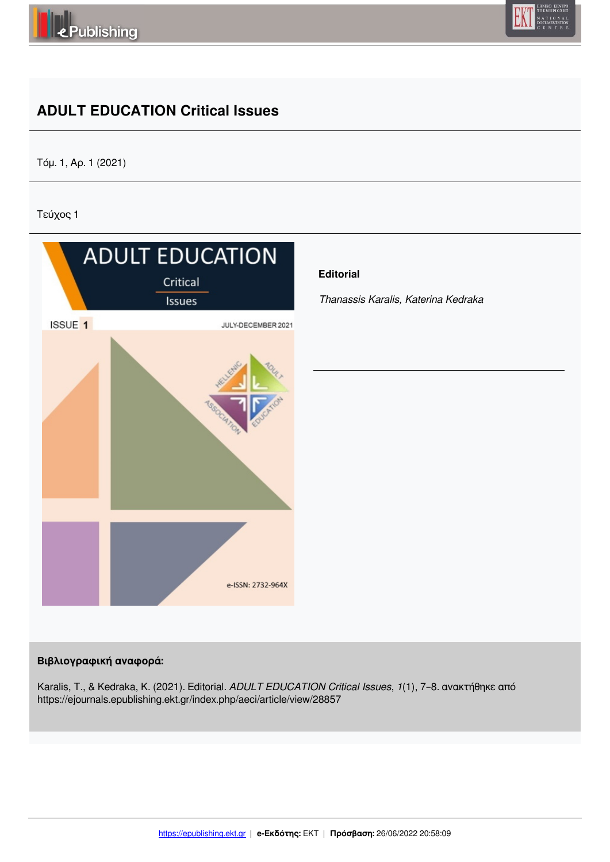



## **ADULT EDUCATION Critical Issues**

Τόμ. 1, Αρ. 1 (2021)

Τεύχος 1



## **Βιβλιογραφική αναφορά:**

Karalis, T., & Kedraka, K. (2021). Editorial. *ADULT EDUCATION Critical Issues*, *1*(1), 7–8. ανακτήθηκε από https://ejournals.epublishing.ekt.gr/index.php/aeci/article/view/28857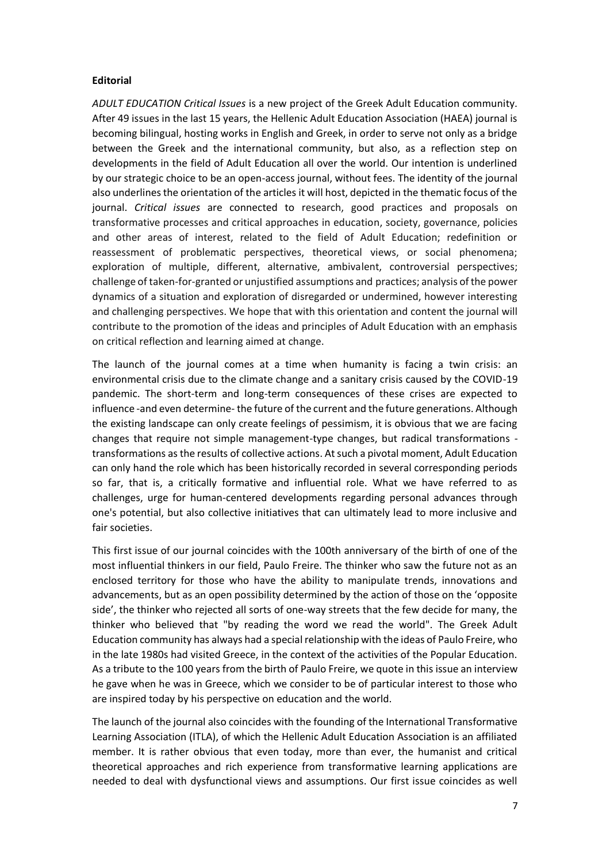## **Editorial**

*ADULT EDUCATION Critical Issues* is a new project of the Greek Adult Education community. After 49 issues in the last 15 years, the Hellenic Adult Education Association (HAEA) journal is becoming bilingual, hosting works in English and Greek, in order to serve not only as a bridge between the Greek and the international community, but also, as a reflection step on developments in the field of Adult Education all over the world. Our intention is underlined by our strategic choice to be an open-access journal, without fees. The identity of the journal also underlines the orientation of the articles it will host, depicted in the thematic focus of the journal. *Critical issues* are connected to research, good practices and proposals on transformative processes and critical approaches in education, society, governance, policies and other areas of interest, related to the field of Adult Education; redefinition or reassessment of problematic perspectives, theoretical views, or social phenomena; exploration of multiple, different, alternative, ambivalent, controversial perspectives; challenge of taken-for-granted or unjustified assumptions and practices; analysis of the power dynamics of a situation and exploration of disregarded or undermined, however interesting and challenging perspectives. We hope that with this orientation and content the journal will contribute to the promotion of the ideas and principles of Adult Education with an emphasis on critical reflection and learning aimed at change.

The launch of the journal comes at a time when humanity is facing a twin crisis: an environmental crisis due to the climate change and a sanitary crisis caused by the COVID-19 pandemic. The short-term and long-term consequences of these crises are expected to influence -and even determine- the future of the current and the future generations. Although the existing landscape can only create feelings of pessimism, it is obvious that we are facing changes that require not simple management-type changes, but radical transformations transformations as the results of collective actions. At such a pivotal moment, Adult Education can only hand the role which has been historically recorded in several corresponding periods so far, that is, a critically formative and influential role. What we have referred to as challenges, urge for human-centered developments regarding personal advances through one's potential, but also collective initiatives that can ultimately lead to more inclusive and fair societies.

This first issue of our journal coincides with the 100th anniversary of the birth of one of the most influential thinkers in our field, Paulo Freire. The thinker who saw the future not as an enclosed territory for those who have the ability to manipulate trends, innovations and advancements, but as an open possibility determined by the action of those on the 'opposite side', the thinker who rejected all sorts of one-way streets that the few decide for many, the thinker who believed that "by reading the word we read the world". The Greek Adult Education community has always had a special relationship with the ideas of Paulo Freire, who in the late 1980s had visited Greece, in the context of the activities of the Popular Education. As a tribute to the 100 years from the birth of Paulo Freire, we quote in this issue an interview he gave when he was in Greece, which we consider to be of particular interest to those who are inspired today by his perspective on education and the world.

The launch of the journal also coincides with the founding of the International Transformative Learning Association (ITLA), of which the Hellenic Adult Education Association is an affiliated member. It is rather obvious that even today, more than ever, the humanist and critical theoretical approaches and rich experience from transformative learning applications are needed to deal with dysfunctional views and assumptions. Our first issue coincides as well